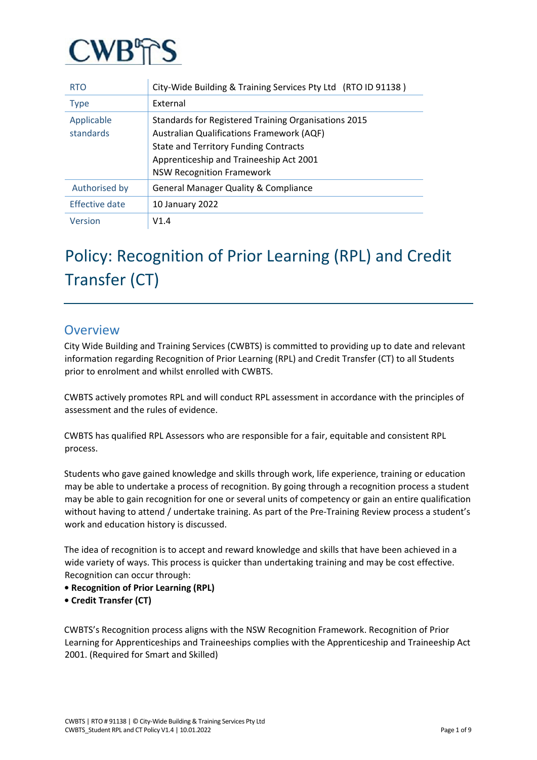

| <b>RTO</b>              | City-Wide Building & Training Services Pty Ltd (RTO ID 91138)                                                                                                                                                                    |
|-------------------------|----------------------------------------------------------------------------------------------------------------------------------------------------------------------------------------------------------------------------------|
| <b>Type</b>             | External                                                                                                                                                                                                                         |
| Applicable<br>standards | Standards for Registered Training Organisations 2015<br>Australian Qualifications Framework (AQF)<br><b>State and Territory Funding Contracts</b><br>Apprenticeship and Traineeship Act 2001<br><b>NSW Recognition Framework</b> |
| Authorised by           | <b>General Manager Quality &amp; Compliance</b>                                                                                                                                                                                  |
| Effective date          | 10 January 2022                                                                                                                                                                                                                  |
| Version                 | V1.4                                                                                                                                                                                                                             |

# Policy: Recognition of Prior Learning (RPL) and Credit Transfer (CT)

# **Overview**

City Wide Building and Training Services (CWBTS) is committed to providing up to date and relevant information regarding Recognition of Prior Learning (RPL) and Credit Transfer (CT) to all Students prior to enrolment and whilst enrolled with CWBTS.

CWBTS actively promotes RPL and will conduct RPL assessment in accordance with the principles of assessment and the rules of evidence.

CWBTS has qualified RPL Assessors who are responsible for a fair, equitable and consistent RPL process.

Students who gave gained knowledge and skills through work, life experience, training or education may be able to undertake a process of recognition. By going through a recognition process a student may be able to gain recognition for one or several units of competency or gain an entire qualification without having to attend / undertake training. As part of the Pre-Training Review process a student's work and education history is discussed.

The idea of recognition is to accept and reward knowledge and skills that have been achieved in a wide variety of ways. This process is quicker than undertaking training and may be cost effective. Recognition can occur through:

- **Recognition of Prior Learning (RPL)**
- **Credit Transfer (CT)**

CWBTS's Recognition process aligns with the NSW Recognition Framework. Recognition of Prior Learning for Apprenticeships and Traineeships complies with the Apprenticeship and Traineeship Act 2001. (Required for Smart and Skilled)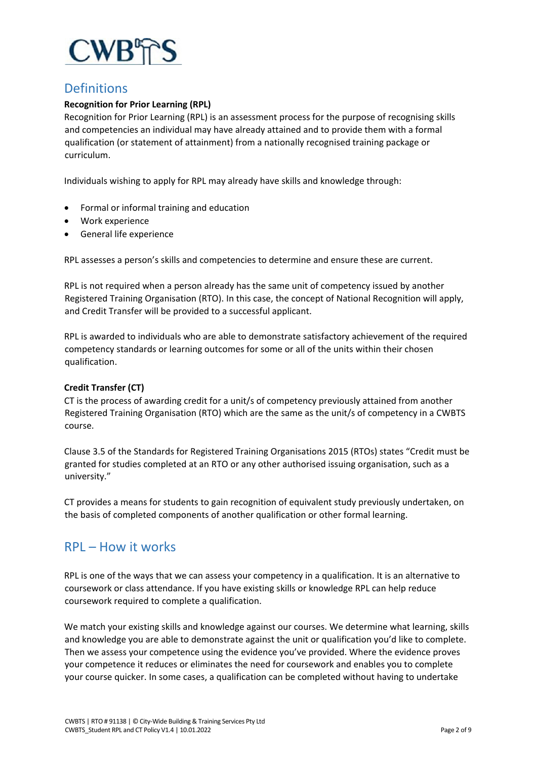

# **Definitions**

# **Recognition for Prior Learning (RPL)**

Recognition for Prior Learning (RPL) is an assessment process for the purpose of recognising skills and competencies an individual may have already attained and to provide them with a formal qualification (or statement of attainment) from a nationally recognised training package or curriculum.

Individuals wishing to apply for RPL may already have skills and knowledge through:

- Formal or informal training and education
- Work experience
- General life experience

RPL assesses a person's skills and competencies to determine and ensure these are current.

RPL is not required when a person already has the same unit of competency issued by another Registered Training Organisation (RTO). In this case, the concept of National Recognition will apply, and Credit Transfer will be provided to a successful applicant.

RPL is awarded to individuals who are able to demonstrate satisfactory achievement of the required competency standards or learning outcomes for some or all of the units within their chosen qualification.

# **Credit Transfer (CT)**

CT is the process of awarding credit for a unit/s of competency previously attained from another Registered Training Organisation (RTO) which are the same as the unit/s of competency in a CWBTS course.

Clause 3.5 of the Standards for Registered Training Organisations 2015 (RTOs) states "Credit must be granted for studies completed at an RTO or any other authorised issuing organisation, such as a university."

CT provides a means for students to gain recognition of equivalent study previously undertaken, on the basis of completed components of another qualification or other formal learning.

# RPL – How it works

RPL is one of the ways that we can assess your competency in a qualification. It is an alternative to coursework or class attendance. If you have existing skills or knowledge RPL can help reduce coursework required to complete a qualification.

We match your existing skills and knowledge against our courses. We determine what learning, skills and knowledge you are able to demonstrate against the unit or qualification you'd like to complete. Then we assess your competence using the evidence you've provided. Where the evidence proves your competence it reduces or eliminates the need for coursework and enables you to complete your course quicker. In some cases, a qualification can be completed without having to undertake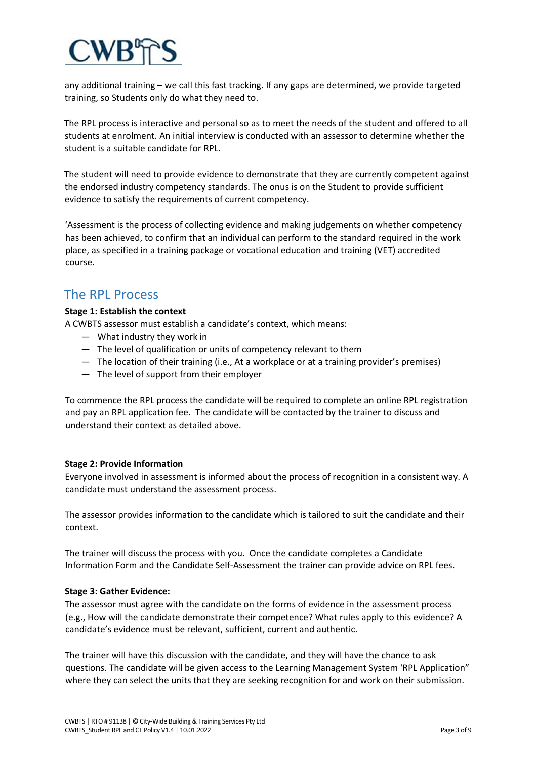any additional training – we call this fast tracking. If any gaps are determined, we provide targeted training, so Students only do what they need to.

The RPL process is interactive and personal so as to meet the needs of the student and offered to all students at enrolment. An initial interview is conducted with an assessor to determine whether the student is a suitable candidate for RPL.

The student will need to provide evidence to demonstrate that they are currently competent against the endorsed industry competency standards. The onus is on the Student to provide sufficient evidence to satisfy the requirements of current competency.

'Assessment is the process of collecting evidence and making judgements on whether competency has been achieved, to confirm that an individual can perform to the standard required in the work place, as specified in a training package or vocational education and training (VET) accredited course.

# The RPL Process

# **Stage 1: Establish the context**

A CWBTS assessor must establish a candidate's context, which means:

- What industry they work in
- The level of qualification or units of competency relevant to them
- The location of their training (i.e., At a workplace or at a training provider's premises)
- The level of support from their employer

To commence the RPL process the candidate will be required to complete an online RPL registration and pay an RPL application fee. The candidate will be contacted by the trainer to discuss and understand their context as detailed above.

## **Stage 2: Provide Information**

Everyone involved in assessment is informed about the process of recognition in a consistent way. A candidate must understand the assessment process.

The assessor provides information to the candidate which is tailored to suit the candidate and their context.

The trainer will discuss the process with you. Once the candidate completes a Candidate Information Form and the Candidate Self-Assessment the trainer can provide advice on RPL fees.

## **Stage 3: Gather Evidence:**

The assessor must agree with the candidate on the forms of evidence in the assessment process (e.g., How will the candidate demonstrate their competence? What rules apply to this evidence? A candidate's evidence must be relevant, sufficient, current and authentic.

The trainer will have this discussion with the candidate, and they will have the chance to ask questions. The candidate will be given access to the Learning Management System 'RPL Application" where they can select the units that they are seeking recognition for and work on their submission.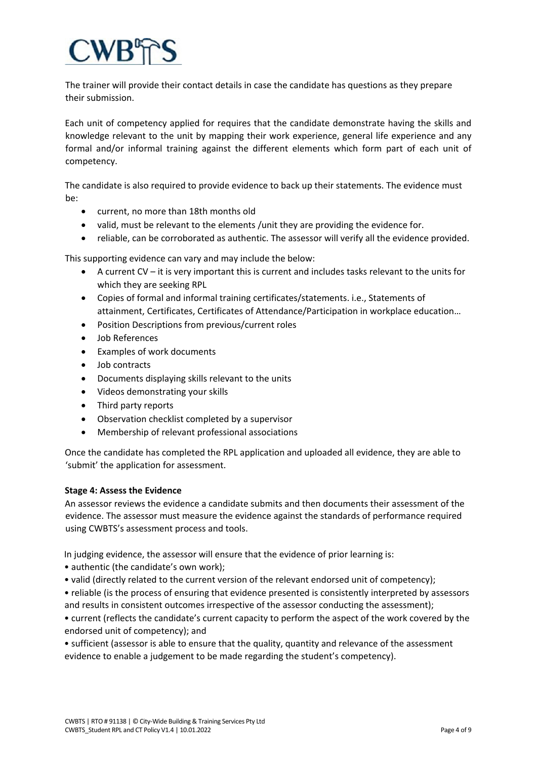The trainer will provide their contact details in case the candidate has questions as they prepare their submission.

Each unit of competency applied for requires that the candidate demonstrate having the skills and knowledge relevant to the unit by mapping their work experience, general life experience and any formal and/or informal training against the different elements which form part of each unit of competency.

The candidate is also required to provide evidence to back up their statements. The evidence must be:

- current, no more than 18th months old
- valid, must be relevant to the elements /unit they are providing the evidence for.
- reliable, can be corroborated as authentic. The assessor will verify all the evidence provided.

This supporting evidence can vary and may include the below:

- A current CV it is very important this is current and includes tasks relevant to the units for which they are seeking RPL
- Copies of formal and informal training certificates/statements. i.e., Statements of attainment, Certificates, Certificates of Attendance/Participation in workplace education…
- Position Descriptions from previous/current roles
- Job References
- Examples of work documents
- Job contracts
- Documents displaying skills relevant to the units
- Videos demonstrating your skills
- Third party reports
- Observation checklist completed by a supervisor
- Membership of relevant professional associations

Once the candidate has completed the RPL application and uploaded all evidence, they are able to 'submit' the application for assessment.

## **Stage 4: Assess the Evidence**

An assessor reviews the evidence a candidate submits and then documents their assessment of the evidence. The assessor must measure the evidence against the standards of performance required using CWBTS's assessment process and tools.

In judging evidence, the assessor will ensure that the evidence of prior learning is:

• authentic (the candidate's own work);

• valid (directly related to the current version of the relevant endorsed unit of competency);

• reliable (is the process of ensuring that evidence presented is consistently interpreted by assessors and results in consistent outcomes irrespective of the assessor conducting the assessment);

• current (reflects the candidate's current capacity to perform the aspect of the work covered by the endorsed unit of competency); and

• sufficient (assessor is able to ensure that the quality, quantity and relevance of the assessment evidence to enable a judgement to be made regarding the student's competency).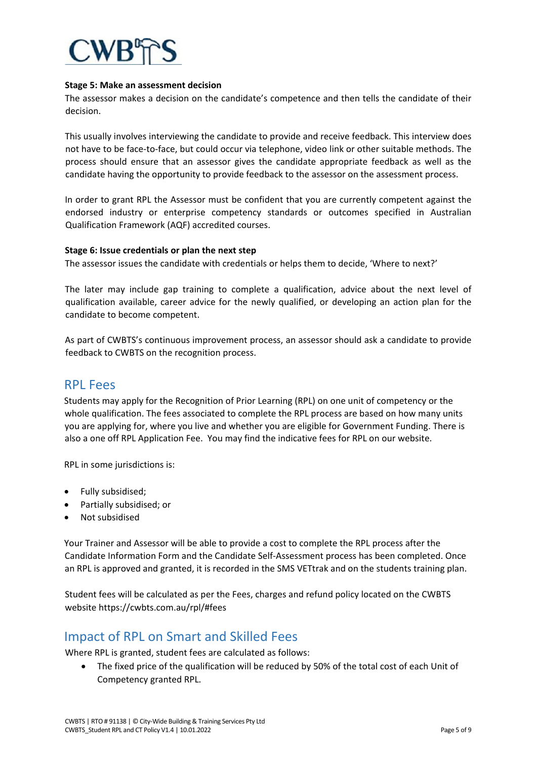

## **Stage 5: Make an assessment decision**

The assessor makes a decision on the candidate's competence and then tells the candidate of their decision.

This usually involves interviewing the candidate to provide and receive feedback. This interview does not have to be face-to-face, but could occur via telephone, video link or other suitable methods. The process should ensure that an assessor gives the candidate appropriate feedback as well as the candidate having the opportunity to provide feedback to the assessor on the assessment process.

In order to grant RPL the Assessor must be confident that you are currently competent against the endorsed industry or enterprise competency standards or outcomes specified in Australian Qualification Framework (AQF) accredited courses.

#### **Stage 6: Issue credentials or plan the next step**

The assessor issues the candidate with credentials or helps them to decide, 'Where to next?'

The later may include gap training to complete a qualification, advice about the next level of qualification available, career advice for the newly qualified, or developing an action plan for the candidate to become competent.

As part of CWBTS's continuous improvement process, an assessor should ask a candidate to provide feedback to CWBTS on the recognition process.

# RPL Fees

Students may apply for the Recognition of Prior Learning (RPL) on one unit of competency or the whole qualification. The fees associated to complete the RPL process are based on how many units you are applying for, where you live and whether you are eligible for Government Funding. There is also a one off RPL Application Fee. You may find the indicative fees for RPL on our website.

RPL in some jurisdictions is:

- Fully subsidised;
- Partially subsidised; or
- Not subsidised

Your Trainer and Assessor will be able to provide a cost to complete the RPL process after the Candidate Information Form and the Candidate Self-Assessment process has been completed. Once an RPL is approved and granted, it is recorded in the SMS VETtrak and on the students training plan.

Student fees will be calculated as per the Fees, charges and refund policy located on the CWBTS website https://cwbts.com.au/rpl/#fees

# Impact of RPL on Smart and Skilled Fees

Where RPL is granted, student fees are calculated as follows:

• The fixed price of the qualification will be reduced by 50% of the total cost of each Unit of Competency granted RPL.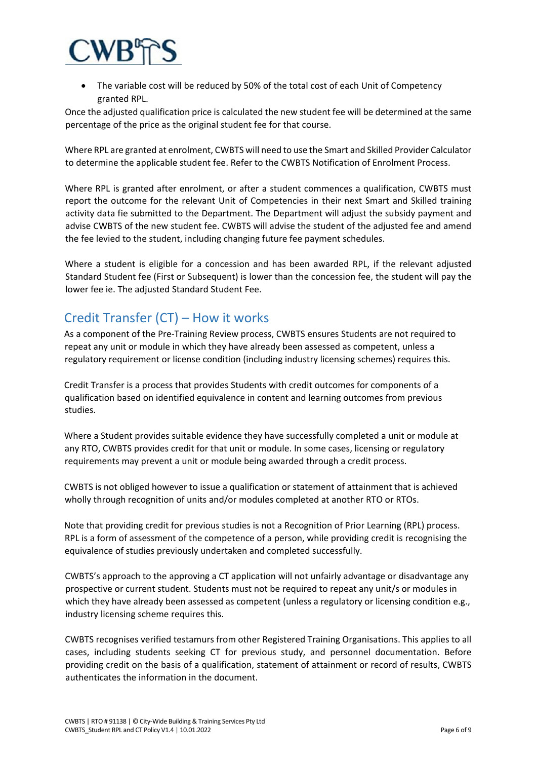

• The variable cost will be reduced by 50% of the total cost of each Unit of Competency granted RPL.

Once the adjusted qualification price is calculated the new student fee will be determined at the same percentage of the price as the original student fee for that course.

Where RPL are granted at enrolment, CWBTS will need to use the Smart and Skilled Provider Calculator to determine the applicable student fee. Refer to the CWBTS Notification of Enrolment Process.

Where RPL is granted after enrolment, or after a student commences a qualification, CWBTS must report the outcome for the relevant Unit of Competencies in their next Smart and Skilled training activity data fie submitted to the Department. The Department will adjust the subsidy payment and advise CWBTS of the new student fee. CWBTS will advise the student of the adjusted fee and amend the fee levied to the student, including changing future fee payment schedules.

Where a student is eligible for a concession and has been awarded RPL, if the relevant adjusted Standard Student fee (First or Subsequent) is lower than the concession fee, the student will pay the lower fee ie. The adjusted Standard Student Fee.

# Credit Transfer (CT) – How it works

As a component of the Pre-Training Review process, CWBTS ensures Students are not required to repeat any unit or module in which they have already been assessed as competent, unless a regulatory requirement or license condition (including industry licensing schemes) requires this.

Credit Transfer is a process that provides Students with credit outcomes for components of a qualification based on identified equivalence in content and learning outcomes from previous studies.

Where a Student provides suitable evidence they have successfully completed a unit or module at any RTO, CWBTS provides credit for that unit or module. In some cases, licensing or regulatory requirements may prevent a unit or module being awarded through a credit process.

CWBTS is not obliged however to issue a qualification or statement of attainment that is achieved wholly through recognition of units and/or modules completed at another RTO or RTOs.

Note that providing credit for previous studies is not a Recognition of Prior Learning (RPL) process. RPL is a form of assessment of the competence of a person, while providing credit is recognising the equivalence of studies previously undertaken and completed successfully.

CWBTS's approach to the approving a CT application will not unfairly advantage or disadvantage any prospective or current student. Students must not be required to repeat any unit/s or modules in which they have already been assessed as competent (unless a regulatory or licensing condition e.g., industry licensing scheme requires this.

CWBTS recognises verified testamurs from other Registered Training Organisations. This applies to all cases, including students seeking CT for previous study, and personnel documentation. Before providing credit on the basis of a qualification, statement of attainment or record of results, CWBTS authenticates the information in the document.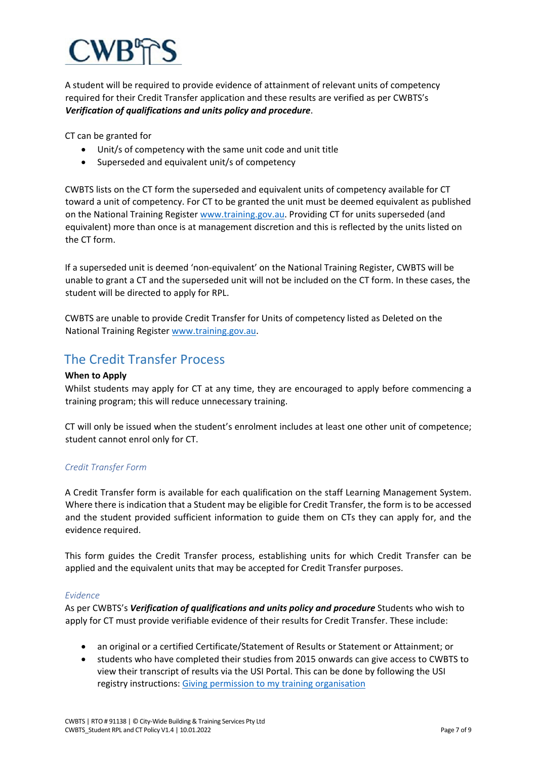A student will be required to provide evidence of attainment of relevant units of competency required for their Credit Transfer application and these results are verified as per CWBTS's *Verification of qualifications and units policy and procedure*.

CT can be granted for

- Unit/s of competency with the same unit code and unit title
- Superseded and equivalent unit/s of competency

CWBTS lists on the CT form the superseded and equivalent units of competency available for CT toward a unit of competency. For CT to be granted the unit must be deemed equivalent as published on the National Training Register [www.training.gov.au.](http://www.training.gov.au/) Providing CT for units superseded (and equivalent) more than once is at management discretion and this is reflected by the units listed on the CT form.

If a superseded unit is deemed 'non-equivalent' on the National Training Register, CWBTS will be unable to grant a CT and the superseded unit will not be included on the CT form. In these cases, the student will be directed to apply for RPL.

CWBTS are unable to provide Credit Transfer for Units of competency listed as Deleted on the National Training Registe[r www.training.gov.au.](http://www.training.gov.au/)

# The Credit Transfer Process

# **When to Apply**

Whilst students may apply for CT at any time, they are encouraged to apply before commencing a training program; this will reduce unnecessary training.

CT will only be issued when the student's enrolment includes at least one other unit of competence; student cannot enrol only for CT.

# *Credit Transfer Form*

A Credit Transfer form is available for each qualification on the staff Learning Management System. Where there is indication that a Student may be eligible for Credit Transfer, the form is to be accessed and the student provided sufficient information to guide them on CTs they can apply for, and the evidence required.

This form guides the Credit Transfer process, establishing units for which Credit Transfer can be applied and the equivalent units that may be accepted for Credit Transfer purposes.

## *Evidence*

As per CWBTS's *Verification of qualifications and units policy and procedure* Students who wish to apply for CT must provide verifiable evidence of their results for Credit Transfer. These include:

- an original or a certified Certificate/Statement of Results or Statement or Attainment; or
- students who have completed their studies from 2015 onwards can give access to CWBTS to view their transcript of results via the USI Portal. This can be done by following the USI registry instructions: [Giving permission to my training organisation](https://www.usi.gov.au/documents/how-do-i-give-permission-my-training-organisation-view-my-usi-transcript-online)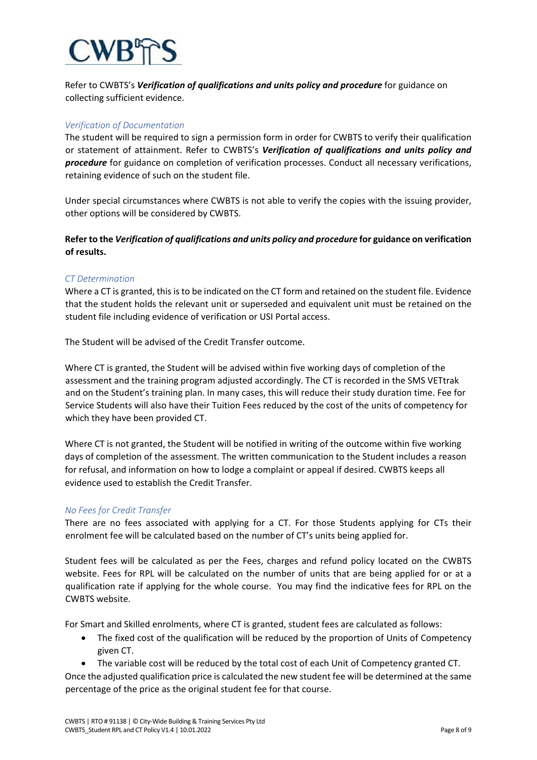Refer to CWBTS's *Verification of qualifications and units policy and procedure* for guidance on collecting sufficient evidence.

# *Verification of Documentation*

The student will be required to sign a permission form in order for CWBTS to verify their qualification or statement of attainment. Refer to CWBTS's *Verification of qualifications and units policy and procedure* for guidance on completion of verification processes. Conduct all necessary verifications, retaining evidence of such on the student file.

Under special circumstances where CWBTS is not able to verify the copies with the issuing provider, other options will be considered by CWBTS.

**Refer to the** *Verification of qualifications and units policy and procedure* **for guidance on verification of results.**

## *CT Determination*

Where a CT is granted, this is to be indicated on the CT form and retained on the student file. Evidence that the student holds the relevant unit or superseded and equivalent unit must be retained on the student file including evidence of verification or USI Portal access.

The Student will be advised of the Credit Transfer outcome.

Where CT is granted, the Student will be advised within five working days of completion of the assessment and the training program adjusted accordingly. The CT is recorded in the SMS VETtrak and on the Student's training plan. In many cases, this will reduce their study duration time. Fee for Service Students will also have their Tuition Fees reduced by the cost of the units of competency for which they have been provided CT.

Where CT is not granted, the Student will be notified in writing of the outcome within five working days of completion of the assessment. The written communication to the Student includes a reason for refusal, and information on how to lodge a complaint or appeal if desired. CWBTS keeps all evidence used to establish the Credit Transfer.

## *No Fees for Credit Transfer*

There are no fees associated with applying for a CT. For those Students applying for CTs their enrolment fee will be calculated based on the number of CT's units being applied for.

Student fees will be calculated as per the Fees, charges and refund policy located on the CWBTS website. Fees for RPL will be calculated on the number of units that are being applied for or at a qualification rate if applying for the whole course. You may find the indicative fees for RPL on the CWBTS website.

For Smart and Skilled enrolments, where CT is granted, student fees are calculated as follows:

- The fixed cost of the qualification will be reduced by the proportion of Units of Competency given CT.
- The variable cost will be reduced by the total cost of each Unit of Competency granted CT.

Once the adjusted qualification price is calculated the new student fee will be determined at the same percentage of the price as the original student fee for that course.